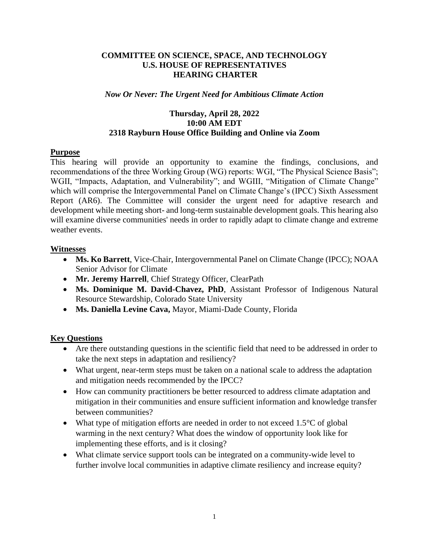# **COMMITTEE ON SCIENCE, SPACE, AND TECHNOLOGY U.S. HOUSE OF REPRESENTATIVES HEARING CHARTER**

## *Now Or Never: The Urgent Need for Ambitious Climate Action*

# **Thursday, April 28, 2022 10:00 AM EDT 2318 Rayburn House Office Building and Online via Zoom**

# **Purpose**

This hearing will provide an opportunity to examine the findings, conclusions, and recommendations of the three Working Group (WG) reports: WGI, "The Physical Science Basis"; WGII, "Impacts, Adaptation, and Vulnerability"; and WGIII, "Mitigation of Climate Change" which will comprise the Intergovernmental Panel on Climate Change's (IPCC) Sixth Assessment Report (AR6). The Committee will consider the urgent need for adaptive research and development while meeting short- and long-term sustainable development goals. This hearing also will examine diverse communities' needs in order to rapidly adapt to climate change and extreme weather events.

# **Witnesses**

- **Ms. Ko Barrett**, Vice-Chair, Intergovernmental Panel on Climate Change (IPCC); NOAA Senior Advisor for Climate
- **Mr. Jeremy Harrell**, Chief Strategy Officer, ClearPath
- **Ms. Dominique M. David-Chavez, PhD**, Assistant Professor of Indigenous Natural Resource Stewardship, Colorado State University
- **Ms. Daniella Levine Cava,** Mayor, Miami-Dade County, Florida

# **Key Questions**

- Are there outstanding questions in the scientific field that need to be addressed in order to take the next steps in adaptation and resiliency?
- What urgent, near-term steps must be taken on a national scale to address the adaptation and mitigation needs recommended by the IPCC?
- How can community practitioners be better resourced to address climate adaptation and mitigation in their communities and ensure sufficient information and knowledge transfer between communities?
- What type of mitigation efforts are needed in order to not exceed 1.5<sup>o</sup>C of global warming in the next century? What does the window of opportunity look like for implementing these efforts, and is it closing?
- What climate service support tools can be integrated on a community-wide level to further involve local communities in adaptive climate resiliency and increase equity?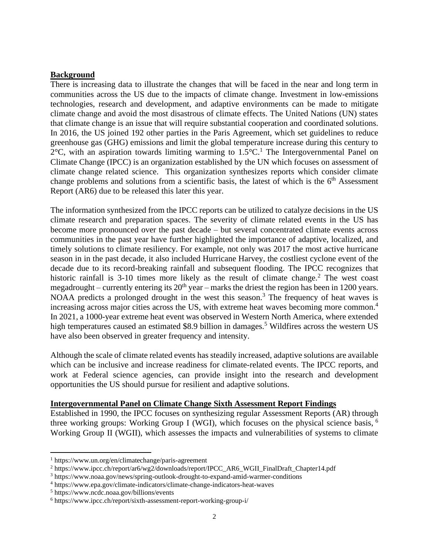### **Background**

There is increasing data to illustrate the changes that will be faced in the near and long term in communities across the US due to the impacts of climate change. Investment in low-emissions technologies, research and development, and adaptive environments can be made to mitigate climate change and avoid the most disastrous of climate effects. The United Nations (UN) states that climate change is an issue that will require substantial cooperation and coordinated solutions. In 2016, the US joined 192 other parties in the Paris Agreement, which set guidelines to reduce greenhouse gas (GHG) emissions and limit the global temperature increase during this century to  $2^{\circ}$ C, with an aspiration towards limiting warming to  $1.5^{\circ}$ C.<sup>1</sup> The Intergovernmental Panel on Climate Change (IPCC) is an organization established by the UN which focuses on assessment of climate change related science. This organization synthesizes reports which consider climate change problems and solutions from a scientific basis, the latest of which is the 6<sup>th</sup> Assessment Report (AR6) due to be released this later this year.

The information synthesized from the IPCC reports can be utilized to catalyze decisions in the US climate research and preparation spaces. The severity of climate related events in the US has become more pronounced over the past decade – but several concentrated climate events across communities in the past year have further highlighted the importance of adaptive, localized, and timely solutions to climate resiliency. For example, not only was 2017 the most active hurricane season in in the past decade, it also included Hurricane Harvey, the costliest cyclone event of the decade due to its record-breaking rainfall and subsequent flooding. The IPCC recognizes that historic rainfall is 3-10 times more likely as the result of climate change.<sup>2</sup> The west coast megadrought – currently entering its  $20<sup>th</sup>$  year – marks the driest the region has been in 1200 years. NOAA predicts a prolonged drought in the west this season.<sup>3</sup> The frequency of heat waves is increasing across major cities across the US, with extreme heat waves becoming more common. 4 In 2021, a 1000-year extreme heat event was observed in Western North America, where extended high temperatures caused an estimated \$8.9 billion in damages.<sup>5</sup> Wildfires across the western US have also been observed in greater frequency and intensity.

Although the scale of climate related events has steadily increased, adaptive solutions are available which can be inclusive and increase readiness for climate-related events. The IPCC reports, and work at Federal science agencies, can provide insight into the research and development opportunities the US should pursue for resilient and adaptive solutions.

#### **Intergovernmental Panel on Climate Change Sixth Assessment Report Findings**

Established in 1990, the IPCC focuses on synthesizing regular Assessment Reports (AR) through three working groups: Working Group I (WGI), which focuses on the physical science basis, <sup>6</sup> Working Group II (WGII), which assesses the impacts and vulnerabilities of systems to climate

<sup>1</sup> https://www.un.org/en/climatechange/paris-agreement

<sup>2</sup> https://www.ipcc.ch/report/ar6/wg2/downloads/report/IPCC\_AR6\_WGII\_FinalDraft\_Chapter14.pdf

<sup>3</sup> https://www.noaa.gov/news/spring-outlook-drought-to-expand-amid-warmer-conditions

<sup>4</sup> https://www.epa.gov/climate-indicators/climate-change-indicators-heat-waves

<sup>5</sup> https://www.ncdc.noaa.gov/billions/events

<sup>6</sup> https://www.ipcc.ch/report/sixth-assessment-report-working-group-i/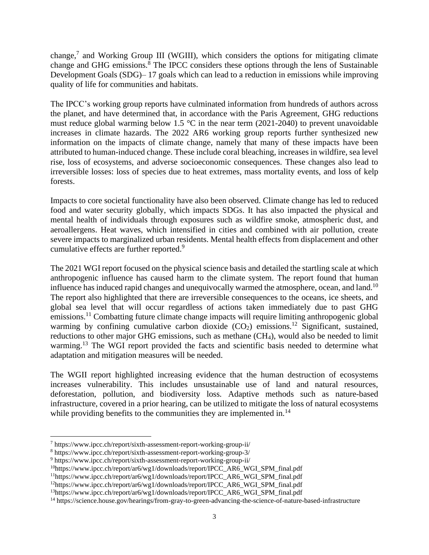change, $7$  and Working Group III (WGIII), which considers the options for mitigating climate change and GHG emissions.<sup>8</sup> The IPCC considers these options through the lens of Sustainable Development Goals (SDG)– 17 goals which can lead to a reduction in emissions while improving quality of life for communities and habitats.

The IPCC's working group reports have culminated information from hundreds of authors across the planet, and have determined that, in accordance with the Paris Agreement, GHG reductions must reduce global warming below 1.5  $\degree$ C in the near term (2021-2040) to prevent unavoidable increases in climate hazards. The 2022 AR6 working group reports further synthesized new information on the impacts of climate change, namely that many of these impacts have been attributed to human-induced change. These include coral bleaching, increases in wildfire, sea level rise, loss of ecosystems, and adverse socioeconomic consequences. These changes also lead to irreversible losses: loss of species due to heat extremes, mass mortality events, and loss of kelp forests.

Impacts to core societal functionality have also been observed. Climate change has led to reduced food and water security globally, which impacts SDGs. It has also impacted the physical and mental health of individuals through exposures such as wildfire smoke, atmospheric dust, and aeroallergens. Heat waves, which intensified in cities and combined with air pollution, create severe impacts to marginalized urban residents. Mental health effects from displacement and other cumulative effects are further reported.<sup>9</sup>

The 2021 WGI report focused on the physical science basis and detailed the startling scale at which anthropogenic influence has caused harm to the climate system. The report found that human influence has induced rapid changes and unequivocally warmed the atmosphere, ocean, and land.<sup>10</sup> The report also highlighted that there are irreversible consequences to the oceans, ice sheets, and global sea level that will occur regardless of actions taken immediately due to past GHG emissions.<sup>11</sup> Combatting future climate change impacts will require limiting anthropogenic global warming by confining cumulative carbon dioxide  $(CO_2)$  emissions.<sup>12</sup> Significant, sustained, reductions to other major GHG emissions, such as methane  $(CH<sub>4</sub>)$ , would also be needed to limit warming.<sup>13</sup> The WGI report provided the facts and scientific basis needed to determine what adaptation and mitigation measures will be needed.

The WGII report highlighted increasing evidence that the human destruction of ecosystems increases vulnerability. This includes unsustainable use of land and natural resources, deforestation, pollution, and biodiversity loss. Adaptive methods such as nature-based infrastructure, covered in a prior hearing, can be utilized to mitigate the loss of natural ecosystems while providing benefits to the communities they are implemented in.<sup>14</sup>

<sup>7</sup> https://www.ipcc.ch/report/sixth-assessment-report-working-group-ii/

<sup>8</sup> https://www.ipcc.ch/report/sixth-assessment-report-working-group-3/

<sup>9</sup> https://www.ipcc.ch/report/sixth-assessment-report-working-group-ii/

<sup>10</sup>https://www.ipcc.ch/report/ar6/wg1/downloads/report/IPCC\_AR6\_WGI\_SPM\_final.pdf

<sup>11</sup>https://www.ipcc.ch/report/ar6/wg1/downloads/report/IPCC\_AR6\_WGI\_SPM\_final.pdf

<sup>12</sup>https://www.ipcc.ch/report/ar6/wg1/downloads/report/IPCC\_AR6\_WGI\_SPM\_final.pdf

<sup>13</sup>https://www.ipcc.ch/report/ar6/wg1/downloads/report/IPCC\_AR6\_WGI\_SPM\_final.pdf

<sup>14</sup> https://science.house.gov/hearings/from-gray-to-green-advancing-the-science-of-nature-based-infrastructure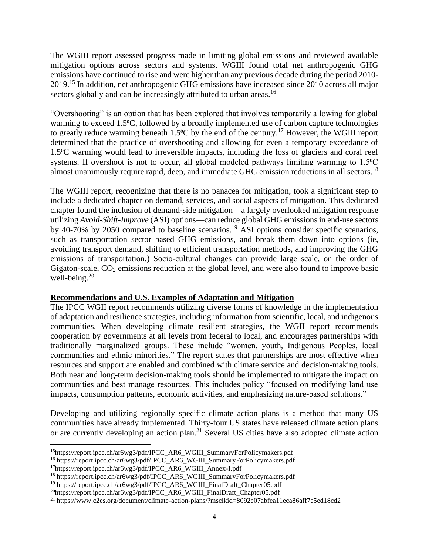The WGIII report assessed progress made in limiting global emissions and reviewed available mitigation options across sectors and systems. WGIII found total net anthropogenic GHG emissions have continued to rise and were higher than any previous decade during the period 2010- 2019.<sup>15</sup> In addition, net anthropogenic GHG emissions have increased since 2010 across all major sectors globally and can be increasingly attributed to urban areas.<sup>16</sup>

"Overshooting" is an option that has been explored that involves temporarily allowing for global warming to exceed 1.5<sup>o</sup>C, followed by a broadly implemented use of carbon capture technologies to greatly reduce warming beneath  $1.5^{\circ}$ C by the end of the century.<sup>17</sup> However, the WGIII report determined that the practice of overshooting and allowing for even a temporary exceedance of 1.5⁰C warming would lead to irreversible impacts, including the loss of glaciers and coral reef systems. If overshoot is not to occur, all global modeled pathways limiting warming to  $1.5^{\circ}C$ almost unanimously require rapid, deep, and immediate GHG emission reductions in all sectors.<sup>18</sup>

The WGIII report, recognizing that there is no panacea for mitigation, took a significant step to include a dedicated chapter on demand, services, and social aspects of mitigation. This dedicated chapter found the inclusion of demand-side mitigation—a largely overlooked mitigation response utilizing *Avoid-Shift-Improve* (ASI) options—can reduce global GHG emissions in end-use sectors by 40-70% by 2050 compared to baseline scenarios.<sup>19</sup> ASI options consider specific scenarios, such as transportation sector based GHG emissions, and break them down into options (ie, avoiding transport demand, shifting to efficient transportation methods, and improving the GHG emissions of transportation.) Socio-cultural changes can provide large scale, on the order of Gigaton-scale,  $CO<sub>2</sub>$  emissions reduction at the global level, and were also found to improve basic well-being. $20$ 

# **Recommendations and U.S. Examples of Adaptation and Mitigation**

The IPCC WGII report recommends utilizing diverse forms of knowledge in the implementation of adaptation and resilience strategies, including information from scientific, local, and indigenous communities. When developing climate resilient strategies, the WGII report recommends cooperation by governments at all levels from federal to local, and encourages partnerships with traditionally marginalized groups. These include "women, youth, Indigenous Peoples, local communities and ethnic minorities." The report states that partnerships are most effective when resources and support are enabled and combined with climate service and decision-making tools. Both near and long-term decision-making tools should be implemented to mitigate the impact on communities and best manage resources. This includes policy "focused on modifying land use impacts, consumption patterns, economic activities, and emphasizing nature-based solutions."

Developing and utilizing regionally specific climate action plans is a method that many US communities have already implemented. Thirty-four US states have released climate action plans or are currently developing an action plan.<sup>21</sup> Several US cities have also adopted climate action

<sup>15</sup>https://report.ipcc.ch/ar6wg3/pdf/IPCC\_AR6\_WGIII\_SummaryForPolicymakers.pdf

<sup>16</sup> https://report.ipcc.ch/ar6wg3/pdf/IPCC\_AR6\_WGIII\_SummaryForPolicymakers.pdf

<sup>17</sup>https://report.ipcc.ch/ar6wg3/pdf/IPCC\_AR6\_WGIII\_Annex-I.pdf

<sup>18</sup> https://report.ipcc.ch/ar6wg3/pdf/IPCC\_AR6\_WGIII\_SummaryForPolicymakers.pdf

<sup>19</sup> https://report.ipcc.ch/ar6wg3/pdf/IPCC\_AR6\_WGIII\_FinalDraft\_Chapter05.pdf

<sup>20</sup>https://report.ipcc.ch/ar6wg3/pdf/IPCC\_AR6\_WGIII\_FinalDraft\_Chapter05.pdf

<sup>21</sup> https://www.c2es.org/document/climate-action-plans/?msclkid=8092e07abfea11eca86aff7e5ed18cd2